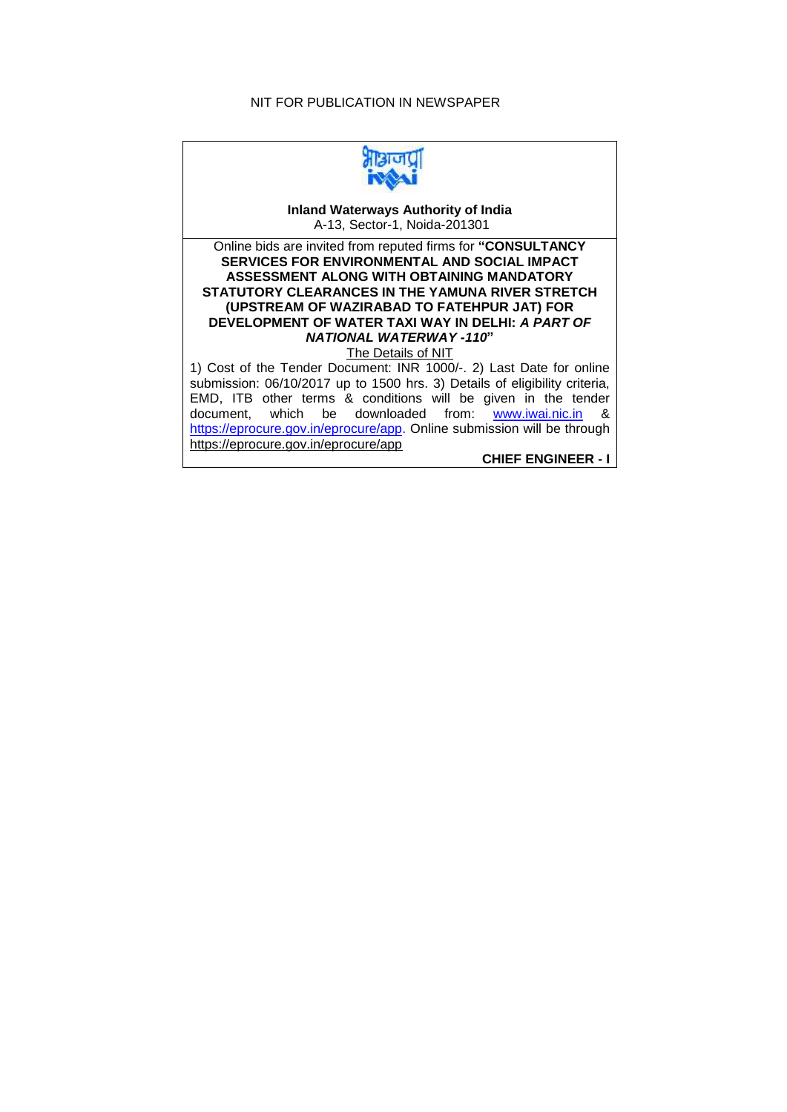## NIT FOR PUBLICATION IN NEWSPAPER



**Inland Waterways Authority of India** A-13, Sector-1, Noida-201301

Online bids are invited from reputed firms for **"CONSULTANCY SERVICES FOR ENVIRONMENTAL AND SOCIAL IMPACT ASSESSMENT ALONG WITH OBTAINING MANDATORY STATUTORY CLEARANCES IN THE YAMUNA RIVER STRETCH (UPSTREAM OF WAZIRABAD TO FATEHPUR JAT) FOR DEVELOPMENT OF WATER TAXI WAY IN DELHI:** *A PART OF NATIONAL WATERWAY -110***"** The Details of NIT

1) Cost of the Tender Document: INR 1000/-. 2) Last Date for online submission: 06/10/2017 up to 1500 hrs. 3) Details of eligibility criteria, EMD, ITB other terms & conditions will be given in the tender document, which be downloaded from: [www.iwai.nic.in](http://www.iwai.nic.in/) & [https://eprocure.gov.in/eprocure/app.](https://eprocure.gov.in/eprocure/app) Online submission will be through <https://eprocure.gov.in/eprocure/app>

**CHIEF ENGINEER - I**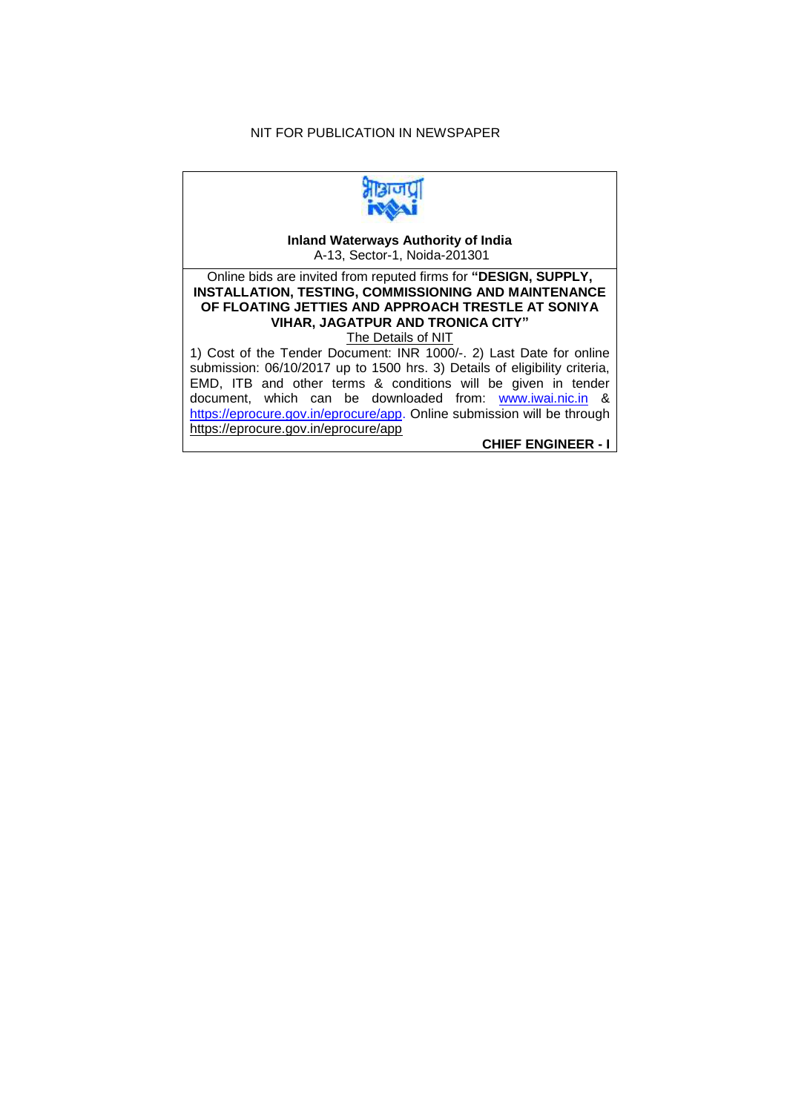## NIT FOR PUBLICATION IN NEWSPAPER



**Inland Waterways Authority of India** A-13, Sector-1, Noida-201301

Online bids are invited from reputed firms for **"DESIGN, SUPPLY, INSTALLATION, TESTING, COMMISSIONING AND MAINTENANCE OF FLOATING JETTIES AND APPROACH TRESTLE AT SONIYA VIHAR, JAGATPUR AND TRONICA CITY"** The Details of NIT

1) Cost of the Tender Document: INR 1000/-. 2) Last Date for online submission: 06/10/2017 up to 1500 hrs. 3) Details of eligibility criteria, EMD, ITB and other terms & conditions will be given in tender document, which can be downloaded from: [www.iwai.nic.in](http://www.iwai.nic.in/) & [https://eprocure.gov.in/eprocure/app.](https://eprocure.gov.in/eprocure/app) Online submission will be through <https://eprocure.gov.in/eprocure/app> **CHIEF ENGINEER - I**